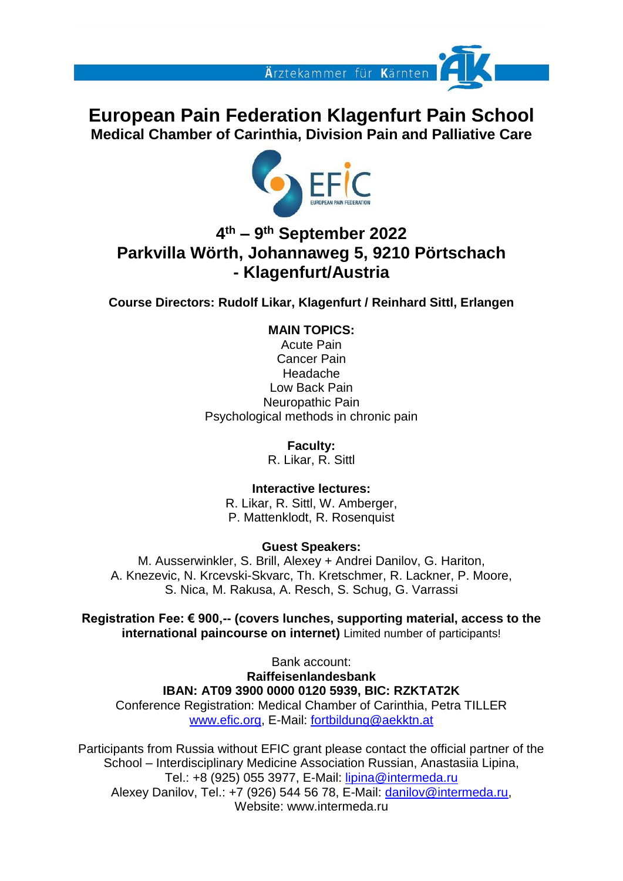

**European Pain Federation Klagenfurt Pain School Medical Chamber of Carinthia, Division Pain and Palliative Care**



## **4 th – 9 th September 2022 Parkvilla Wörth, Johannaweg 5, 9210 Pörtschach - Klagenfurt/Austria**

**Course Directors: Rudolf Likar, Klagenfurt / Reinhard Sittl, Erlangen**

**MAIN TOPICS:**

Acute Pain Cancer Pain Headache Low Back Pain Neuropathic Pain Psychological methods in chronic pain

> **Faculty:**  R. Likar, R. Sittl

**Interactive lectures:** R. Likar, R. Sittl, W. Amberger, P. Mattenklodt, R. Rosenquist

#### **Guest Speakers:**

M. Ausserwinkler, S. Brill, Alexey + Andrei Danilov, G. Hariton, A. Knezevic, N. Krcevski-Skvarc, Th. Kretschmer, R. Lackner, P. Moore, S. Nica, M. Rakusa, A. Resch, S. Schug, G. Varrassi

**Registration Fee: € 900,-- (covers lunches, supporting material, access to the international paincourse on internet)** Limited number of participants!

Bank account: **Raiffeisenlandesbank IBAN: AT09 3900 0000 0120 5939, BIC: RZKTAT2K** Conference Registration: Medical Chamber of Carinthia, Petra TILLER [www.efic.org,](http://www.efic.org/) E-Mail: [fortbildung@aekktn.at](mailto:eipc@sittl.de)

Participants from Russia without EFIC grant please contact the official partner of the School – Interdisciplinary Medicine Association Russian, Anastasiia Lipina, Tel.: +8 (925) 055 3977, E-Mail: [lipina@intermeda.ru](mailto:lipina@intermeda.ru) Alexey Danilov, Tel.: +7 (926) 544 56 78, E-Mail: [danilov@intermeda.ru,](mailto:danilov@intermeda.ru) Website: www.intermeda.ru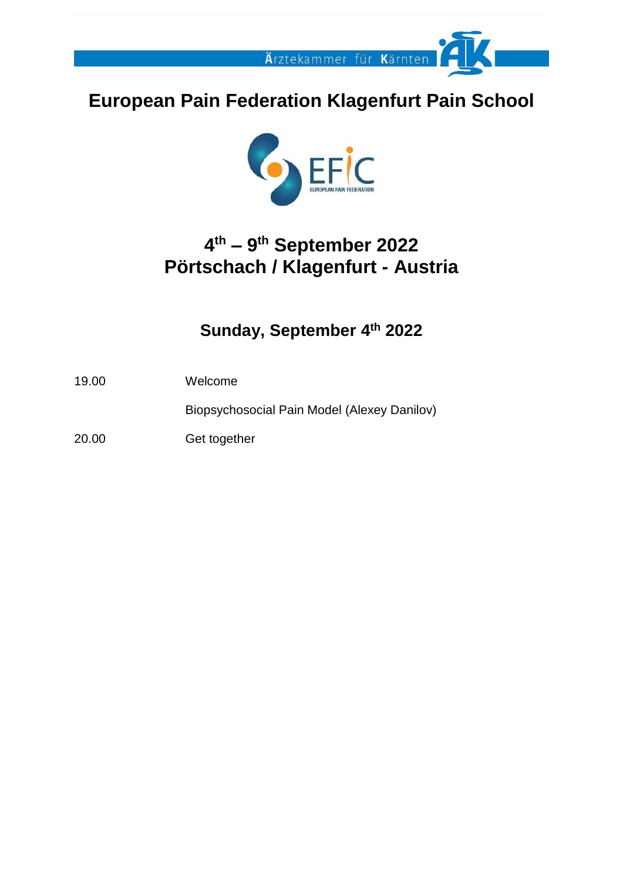

# **European Pain Federation Klagenfurt Pain School**



# **4 th – 9 th September 2022 Pörtschach / Klagenfurt - Austria**

## **Sunday, September 4 th 2022**

19.00 Welcome

Biopsychosocial Pain Model (Alexey Danilov)

20.00 Get together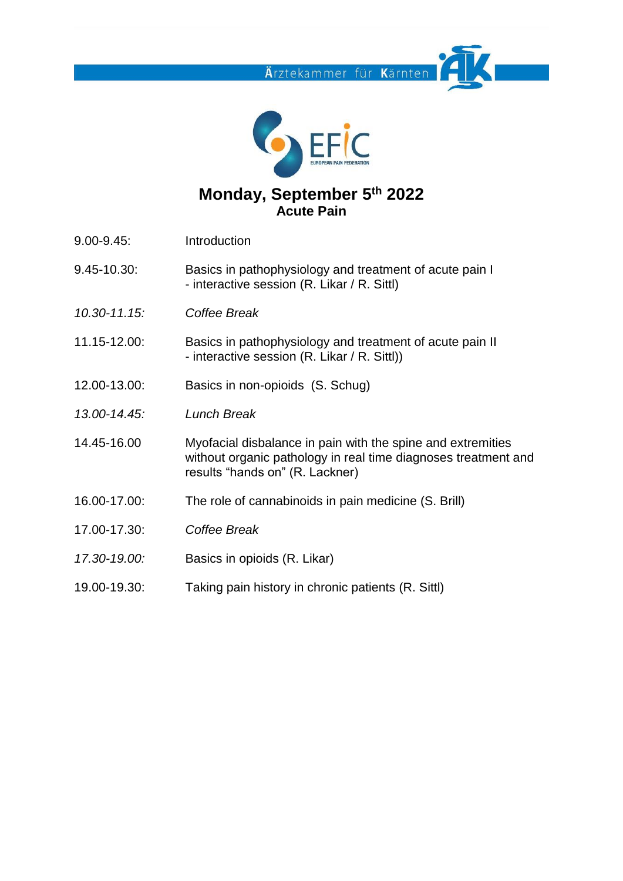**Ä**rztekammer für **K**ärnten



#### **Monday, September 5 th 2022 Acute Pain**

- 9.00-9.45: Introduction
- 9.45-10.30: Basics in pathophysiology and treatment of acute pain I - interactive session (R. Likar / R. Sittl)
- *10.30-11.15: Coffee Break*
- 11.15-12.00: Basics in pathophysiology and treatment of acute pain II - interactive session (R. Likar / R. Sittl))
- 12.00-13.00: Basics in non-opioids (S. Schug)
- *13.00-14.45: Lunch Break*
- 14.45-16.00 Myofacial disbalance in pain with the spine and extremities without organic pathology in real time diagnoses treatment and results "hands on" (R. Lackner)
- 16.00-17.00: The role of cannabinoids in pain medicine (S. Brill)
- 17.00-17.30: *Coffee Break*
- *17.30-19.00:* Basics in opioids (R. Likar)
- 19.00-19.30: Taking pain history in chronic patients (R. Sittl)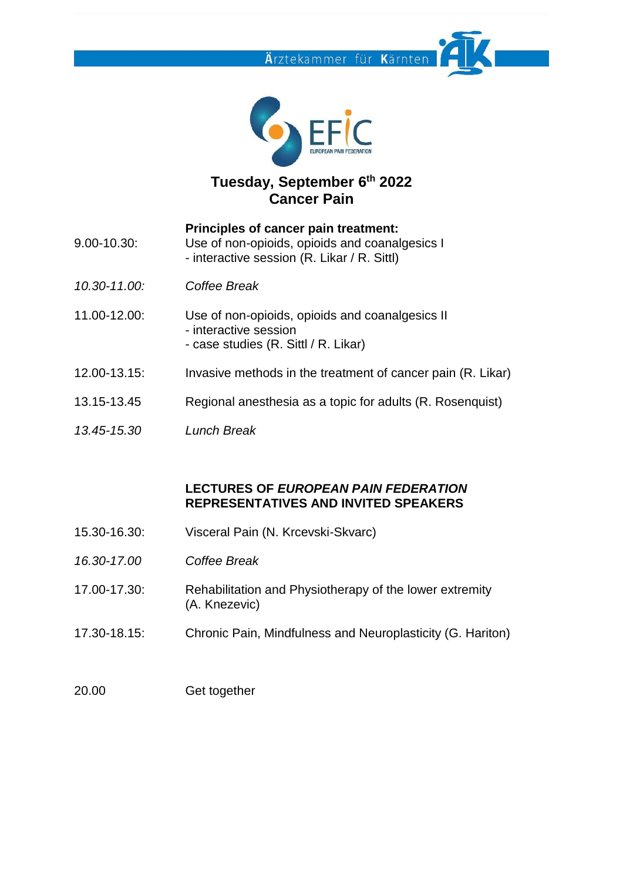



## **Tuesday, September 6 th 2022 Cancer Pain**

- **Principles of cancer pain treatment:** 9.00-10.30: Use of non-opioids, opioids and coanalgesics I - interactive session (R. Likar / R. Sittl)
- *10.30-11.00: Coffee Break*
- 11.00-12.00: Use of non-opioids, opioids and coanalgesics II - interactive session - case studies (R. Sittl / R. Likar)
- 12.00-13.15: Invasive methods in the treatment of cancer pain (R. Likar)
- 13.15-13.45 Regional anesthesia as a topic for adults (R. Rosenquist)
- *13.45-15.30 Lunch Break*

#### **LECTURES OF** *EUROPEAN PAIN FEDERATION* **REPRESENTATIVES AND INVITED SPEAKERS**

- 15.30-16.30: Visceral Pain (N. Krcevski-Skvarc)
- *16.30-17.00 Coffee Break*
- 17.00-17.30: Rehabilitation and Physiotherapy of the lower extremity (A. Knezevic)
- 17.30-18.15: Chronic Pain, Mindfulness and Neuroplasticity (G. Hariton)
- 20.00 Get together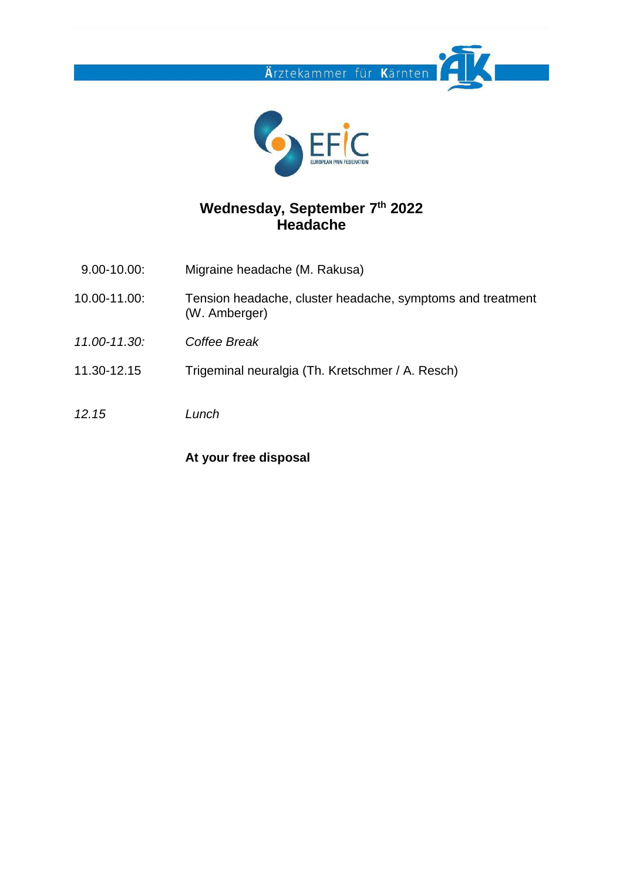



#### **Wednesday, September 7 th 2022 Headache**

- 9.00-10.00: Migraine headache (M. Rakusa)
- 10.00-11.00: Tension headache, cluster headache, symptoms and treatment (W. Amberger)
- *11.00-11.30: Coffee Break*
- 11.30-12.15 Trigeminal neuralgia (Th. Kretschmer / A. Resch)
- *12.15 Lunch*

#### **At your free disposal**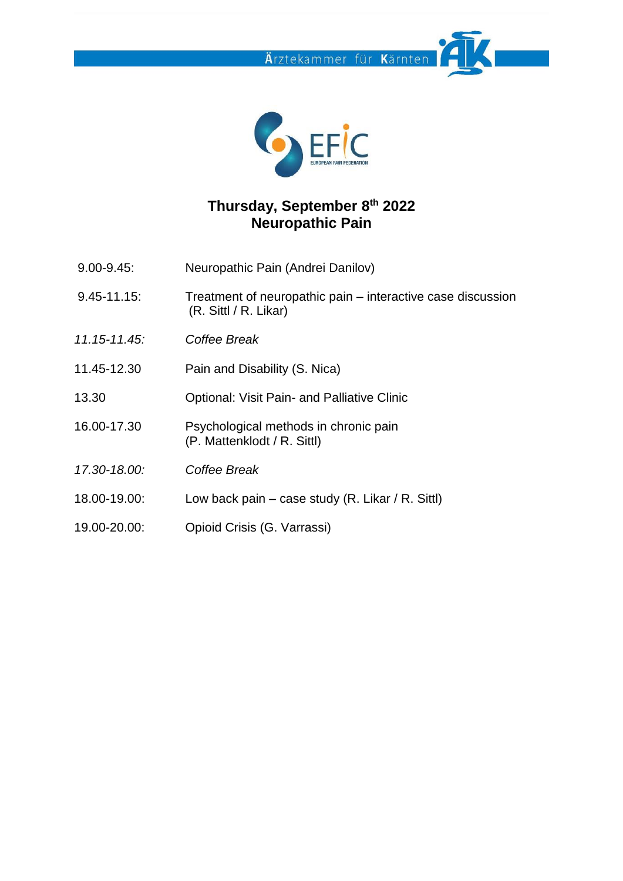



### **Thursday, September 8 th 2022 Neuropathic Pain**

- 9.00-9.45: Neuropathic Pain (Andrei Danilov)
- 9.45-11.15: Treatment of neuropathic pain interactive case discussion (R. Sittl / R. Likar)
- *11.15-11.45: Coffee Break*
- 11.45-12.30 Pain and Disability (S. Nica)
- 13.30 Optional: Visit Pain- and Palliative Clinic
- 16.00-17.30 Psychological methods in chronic pain (P. Mattenklodt / R. Sittl)
- *17.30-18.00: Coffee Break*
- 18.00-19.00: Low back pain case study (R. Likar / R. Sittl)
- 19.00-20.00: Opioid Crisis (G. Varrassi)